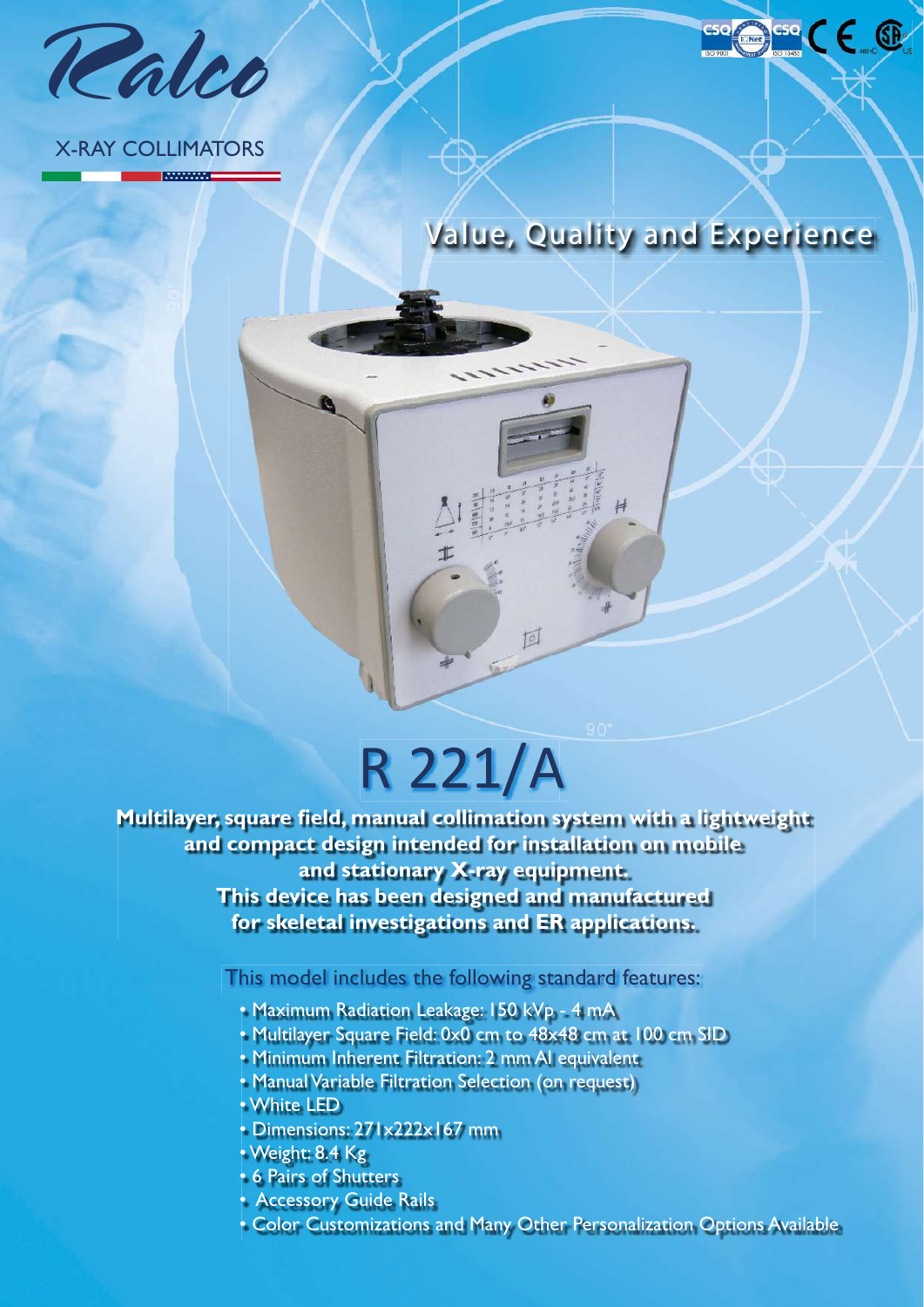

### X-RAY COLLIMATORS

**MARKANA** 



cse CE ®

## R 221/A

回

**Multilayer, square field, manual collimation system with a lightweight and compact design intended for installation on mobile and stationary X-ray equipment. This device has been designed and manufactured for skeletal investigations and ER applications.**

This model includes the following standard features:

- Maximum Radiation Leakage: 150 kVp 4 mA
- Multilayer Square Field: 0x0 cm to 48x48 cm at 100 cm SID
- Minimum Inherent Filtration: 2 mm Al equivalent
- Manual Variable Filtration Selection (on request)
- White LED
- Dimensions: 271x222x167 mm
- Weight: 8.4 Kg
- 6 Pairs of Shutters
- Accessory Guide Rails
- Color Customizations and Many Other Personalization Options Available